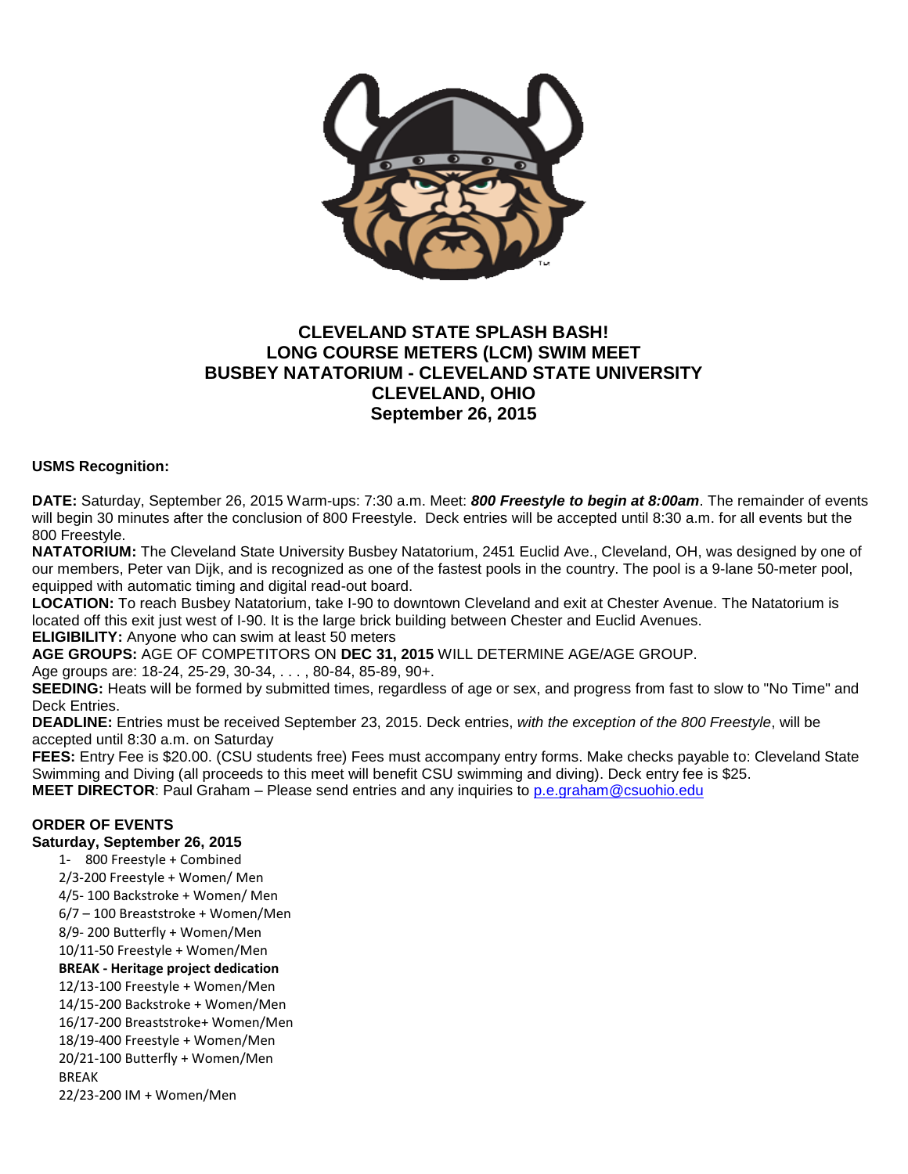

# **CLEVELAND STATE SPLASH BASH! LONG COURSE METERS (LCM) SWIM MEET BUSBEY NATATORIUM - CLEVELAND STATE UNIVERSITY CLEVELAND, OHIO September 26, 2015**

### **USMS Recognition:**

**DATE:** Saturday, September 26, 2015 Warm-ups: 7:30 a.m. Meet: *800 Freestyle to begin at 8:00am*. The remainder of events will begin 30 minutes after the conclusion of 800 Freestyle. Deck entries will be accepted until 8:30 a.m. for all events but the 800 Freestyle.

**NATATORIUM:** The Cleveland State University Busbey Natatorium, 2451 Euclid Ave., Cleveland, OH, was designed by one of our members, Peter van Dijk, and is recognized as one of the fastest pools in the country. The pool is a 9-lane 50-meter pool, equipped with automatic timing and digital read-out board.

**LOCATION:** To reach Busbey Natatorium, take I-90 to downtown Cleveland and exit at Chester Avenue. The Natatorium is located off this exit just west of I-90. It is the large brick building between Chester and Euclid Avenues.

**ELIGIBILITY:** Anyone who can swim at least 50 meters

**AGE GROUPS:** AGE OF COMPETITORS ON **DEC 31, 2015** WILL DETERMINE AGE/AGE GROUP.

Age groups are: 18-24, 25-29, 30-34, . . . , 80-84, 85-89, 90+.

**SEEDING:** Heats will be formed by submitted times, regardless of age or sex, and progress from fast to slow to "No Time" and Deck Entries.

**DEADLINE:** Entries must be received September 23, 2015. Deck entries, *with the exception of the 800 Freestyle*, will be accepted until 8:30 a.m. on Saturday

**FEES:** Entry Fee is \$20.00. (CSU students free) Fees must accompany entry forms. Make checks payable to: Cleveland State Swimming and Diving (all proceeds to this meet will benefit CSU swimming and diving). Deck entry fee is \$25.

**MEET DIRECTOR**: Paul Graham – Please send entries and any inquiries to [p.e.graham@csuohio.edu](mailto:p.e.graham@csuohio.edu)

### **ORDER OF EVENTS**

#### **Saturday, September 26, 2015**

1- 800 Freestyle + Combined 2/3-200 Freestyle + Women/ Men 4/5- 100 Backstroke + Women/ Men 6/7 – 100 Breaststroke + Women/Men 8/9- 200 Butterfly + Women/Men 10/11-50 Freestyle + Women/Men **BREAK - Heritage project dedication** 12/13-100 Freestyle + Women/Men 14/15-200 Backstroke + Women/Men 16/17-200 Breaststroke+ Women/Men 18/19-400 Freestyle + Women/Men 20/21-100 Butterfly + Women/Men BREAK 22/23-200 IM + Women/Men